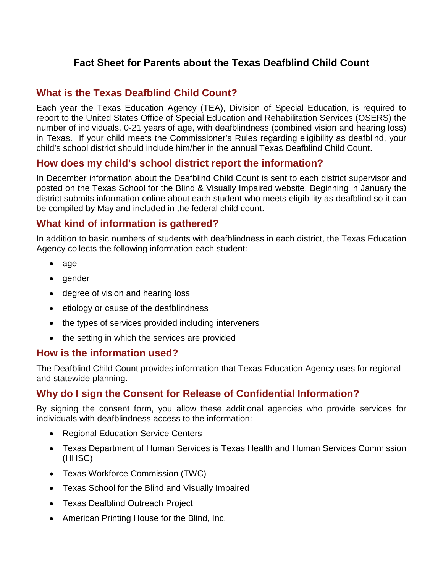# **Fact Sheet for Parents about the Texas Deafblind Child Count**

## **What is the Texas Deafblind Child Count?**

Each year the Texas Education Agency (TEA), Division of Special Education, is required to report to the United States Office of Special Education and Rehabilitation Services (OSERS) the number of individuals, 0-21 years of age, with deafblindness (combined vision and hearing loss) in Texas. If your child meets the Commissioner's Rules regarding eligibility as deafblind, your child's school district should include him/her in the annual Texas Deafblind Child Count.

### **How does my child's school district report the information?**

In December information about the Deafblind Child Count is sent to each district supervisor and posted on the Texas School for the Blind & Visually Impaired website. Beginning in January the district submits information online about each student who meets eligibility as deafblind so it can be compiled by May and included in the federal child count.

### **What kind of information is gathered?**

In addition to basic numbers of students with deafblindness in each district, the Texas Education Agency collects the following information each student:

- age
- gender
- degree of vision and hearing loss
- etiology or cause of the deafblindness
- the types of services provided including interveners
- the setting in which the services are provided

#### **How is the information used?**

The Deafblind Child Count provides information that Texas Education Agency uses for regional and statewide planning.

### **Why do I sign the Consent for Release of Confidential Information?**

By signing the consent form, you allow these additional agencies who provide services for individuals with deafblindness access to the information:

- Regional Education Service Centers
- Texas Department of Human Services is Texas Health and Human Services Commission (HHSC)
- Texas Workforce Commission (TWC)
- Texas School for the Blind and Visually Impaired
- Texas Deafblind Outreach Project
- American Printing House for the Blind, Inc.